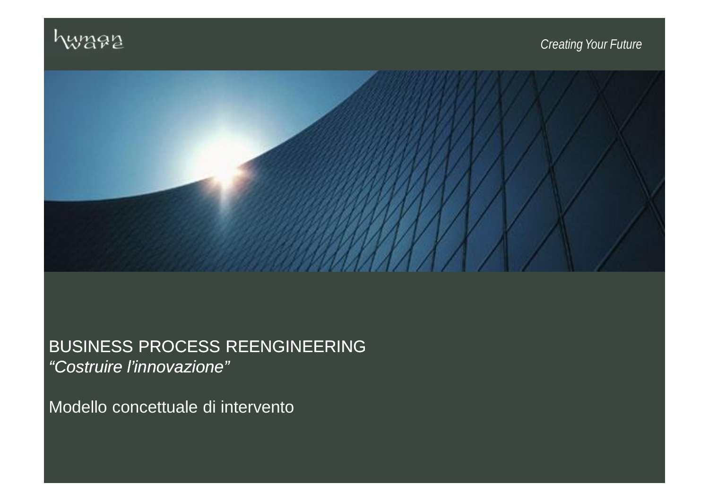



# BUSINESS PROCESS REENGINEERING *"Costruire l'innovazione"*

Modello concettuale di intervento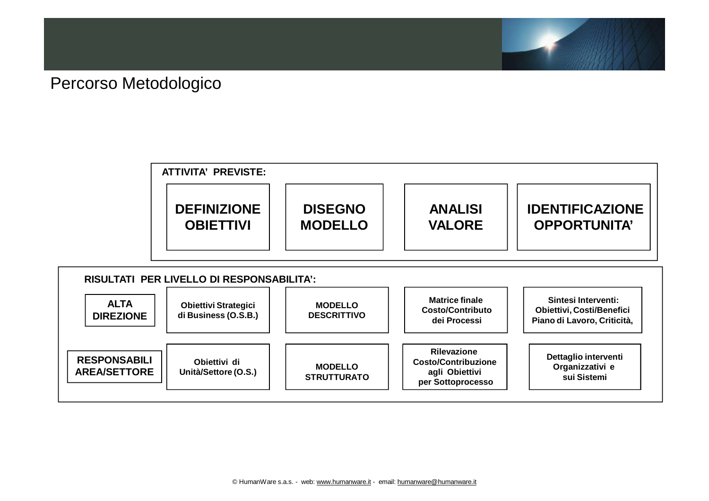

#### Percorso Metodologico



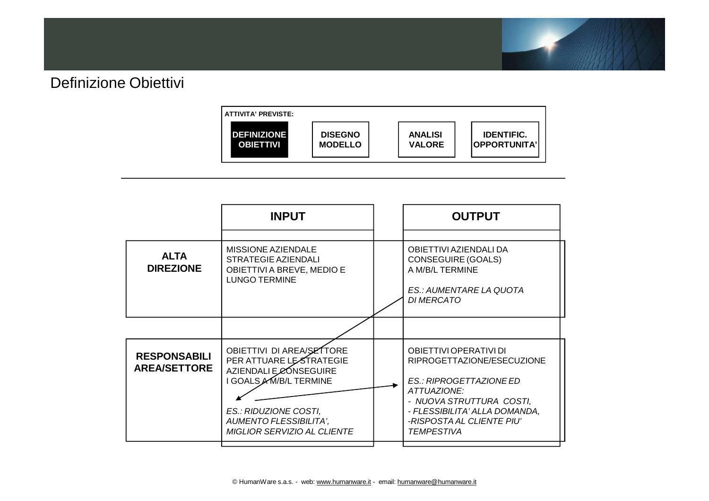

### Definizione Obiettivi

| <b>ATTIVITA' PREVISTE:</b> |                |                |                      |
|----------------------------|----------------|----------------|----------------------|
| <b>DEFINIZIONE</b>         | <b>DISEGNO</b> | <b>ANALISI</b> | <b>IDENTIFIC.</b>    |
| <b>OBIETTIVI</b>           | <b>MODELLO</b> | <b>VALORE</b>  | <b>IOPPORTUNITA'</b> |

|                                            | <b>INPUT</b>                                                                                                                                                                                      | <b>OUTPUT</b>                                                                                                                                                                                                 |
|--------------------------------------------|---------------------------------------------------------------------------------------------------------------------------------------------------------------------------------------------------|---------------------------------------------------------------------------------------------------------------------------------------------------------------------------------------------------------------|
| <b>ALTA</b><br><b>DIREZIONE</b>            | <b>MISSIONE AZIENDALE</b><br><b>STRATEGIE AZIENDALI</b><br>OBIETTIVI A BREVE, MEDIO E<br><b>LUNGO TERMINE</b>                                                                                     | OBIETTIVI AZIENDALI DA<br>CONSEGUIRE (GOALS)<br>A M/B/L TERMINE<br>ES.: AUMENTARE LA QUOTA<br><b>DI MERCATO</b>                                                                                               |
|                                            |                                                                                                                                                                                                   |                                                                                                                                                                                                               |
| <b>RESPONSABILI</b><br><b>AREA/SETTORE</b> | OBIETTIVI DI AREA/SETTORE<br>PER ATTUARE LESTRATEGIE<br>AZIENDALI E ØONSEGUIRE<br>I GOALS AM/B/L TERMINE<br>ES.: RIDUZIONE COSTI,<br><b>AUMENTO FLESSIBILITA',</b><br>MIGLIOR SERVIZIO AL CLIENTE | OBIETTIVI OPERATIVI DI<br>RIPROGETTAZIONE/ESECUZIONE<br>ES.: RIPROGETTAZIONE ED<br>ATTUAZIONE:<br>- NUOVA STRUTTURA COSTI,<br>- FLESSIBILITA' ALLA DOMANDA,<br>-RISPOSTA AL CLIENTE PIU'<br><b>TEMPESTIVA</b> |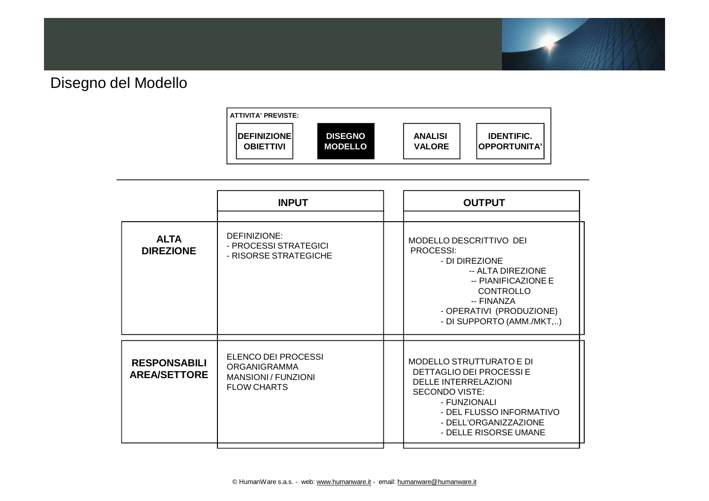

## Disegno del Modello

| ATTIVITA' PREVISTE:  |                |                |                     |
|----------------------|----------------|----------------|---------------------|
| <b>IDEFINIZIONEI</b> | <b>DISEGNO</b> | <b>ANALISI</b> | <b>IDENTIFIC.</b>   |
| <b>OBIETTIVI</b>     | <b>MODELLO</b> | <b>VALORE</b>  | <b>OPPORTUNITA'</b> |

|                                            | <b>INPUT</b>                                                                                   | <b>OUTPUT</b>                                                                                                                                                                                                     |
|--------------------------------------------|------------------------------------------------------------------------------------------------|-------------------------------------------------------------------------------------------------------------------------------------------------------------------------------------------------------------------|
| <b>ALTA</b><br><b>DIREZIONE</b>            | DEFINIZIONE:<br>- PROCESSI STRATEGICI<br>- RISORSE STRATEGICHE                                 | MODELLO DESCRITTIVO DEI<br><b>PROCESSI:</b><br>- DI DIREZIONE<br>-- ALTA DIREZIONE<br>-- PIANIFICAZIONE E<br><b>CONTROLLO</b><br>-- FINANZA<br>- OPERATIVI (PRODUZIONE)<br>- DI SUPPORTO (AMM./MKT,)              |
| <b>RESPONSABILI</b><br><b>AREA/SETTORE</b> | ELENCO DEI PROCESSI<br><b>ORGANIGRAMMA</b><br><b>MANSIONI / FUNZIONI</b><br><b>FLOW CHARTS</b> | <b>MODELLO STRUTTURATO E DI</b><br>DETTAGLIO DEI PROCESSI E<br><b>DELLE INTERRELAZIONI</b><br><b>SECONDO VISTE:</b><br>- FUNZIONALI<br>- DEL FLUSSO INFORMATIVO<br>- DELL'ORGANIZZAZIONE<br>- DELLE RISORSE UMANE |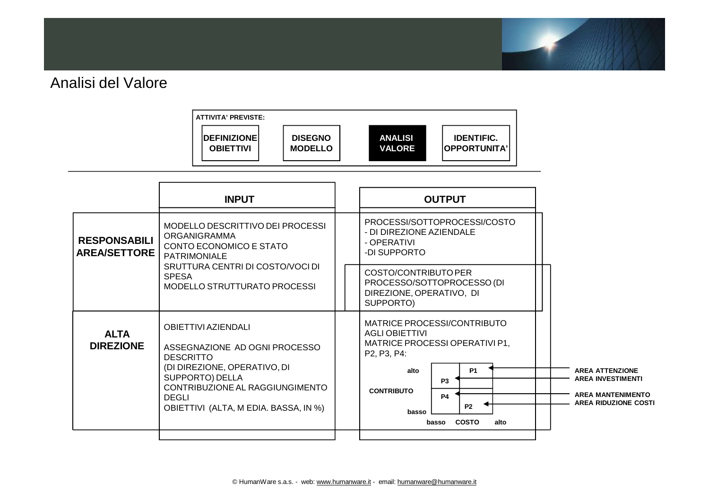

#### Analisi del Valore



| MODELLO DESCRITTIVO DEI PROCESSI<br>ORGANIGRAMMA<br>CONTO ECONOMICO E STATO<br><b>PATRIMONIALE</b><br>SRUTTURA CENTRI DI COSTO/VOCI DI<br>MODELLO STRUTTURATO PROCESSI                                         | PROCESSI/SOTTOPROCESSI/COSTO<br>- DI DIREZIONE AZIENDALE<br>- OPERATIVI<br>-DI SUPPORTO<br>COSTO/CONTRIBUTO PER                                                                                                                                                                                                                                                                          |
|----------------------------------------------------------------------------------------------------------------------------------------------------------------------------------------------------------------|------------------------------------------------------------------------------------------------------------------------------------------------------------------------------------------------------------------------------------------------------------------------------------------------------------------------------------------------------------------------------------------|
|                                                                                                                                                                                                                |                                                                                                                                                                                                                                                                                                                                                                                          |
|                                                                                                                                                                                                                | PROCESSO/SOTTOPROCESSO (DI<br>DIREZIONE, OPERATIVO, DI<br>SUPPORTO)                                                                                                                                                                                                                                                                                                                      |
| <b>OBIETTIVI AZIENDALI</b><br>ASSEGNAZIONE AD OGNI PROCESSO<br><b>DESCRITTO</b><br>(DI DIREZIONE, OPERATIVO, DI<br>SUPPORTO) DELLA<br>CONTRIBUZIONE AL RAGGIUNGIMENTO<br>OBIETTIVI (ALTA, M EDIA. BASSA, IN %) | MATRICE PROCESSI/CONTRIBUTO<br><b>AGLI OBIETTIVI</b><br>MATRICE PROCESSI OPERATIVI P1,<br>P <sub>2</sub> , P <sub>3</sub> , P <sub>4</sub> :<br><b>P1</b><br><b>AREA ATTENZIONE</b><br>alto<br><b>AREA INVESTIMENTI</b><br><b>P3</b><br><b>CONTRIBUTO</b><br><b>AREA MANTENIMENTO</b><br><b>P4</b><br><b>AREA RIDUZIONE COSTI</b><br><b>P2</b><br>basso<br><b>COSTO</b><br>alto<br>basso |
|                                                                                                                                                                                                                |                                                                                                                                                                                                                                                                                                                                                                                          |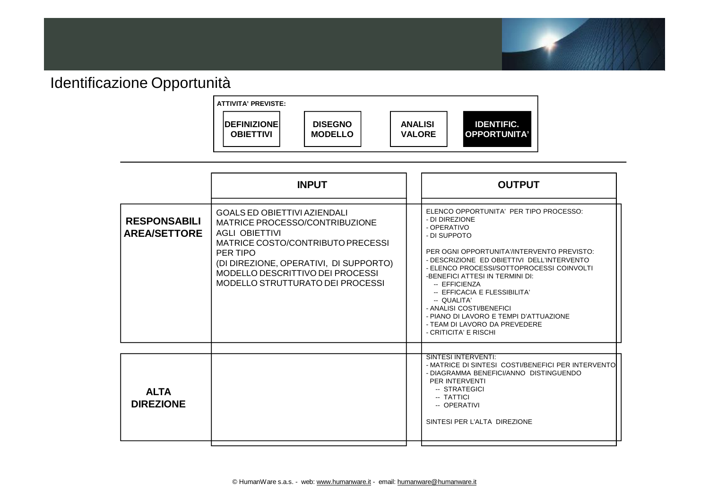

## Identificazione Opportunità



|                                            | <b>INPUT</b>                                                                                                                                                                                                                                               | <b>OUTPUT</b>                                                                                                                                                                                                                                                                                                                                                                                                                                                       |
|--------------------------------------------|------------------------------------------------------------------------------------------------------------------------------------------------------------------------------------------------------------------------------------------------------------|---------------------------------------------------------------------------------------------------------------------------------------------------------------------------------------------------------------------------------------------------------------------------------------------------------------------------------------------------------------------------------------------------------------------------------------------------------------------|
| <b>RESPONSABILI</b><br><b>AREA/SETTORE</b> | <b>GOALS ED OBIETTIVI AZIENDALI</b><br>MATRICE PROCESSO/CONTRIBUZIONE<br>AGLI OBIETTIVI<br>MATRICE COSTO/CONTRIBUTO PRECESSI<br>PER TIPO<br>(DI DIREZIONE, OPERATIVI, DI SUPPORTO)<br>MODELLO DESCRITTIVO DEI PROCESSI<br>MODELLO STRUTTURATO DEI PROCESSI | ELENCO OPPORTUNITA' PER TIPO PROCESSO:<br>- DI DIREZIONE<br>- OPERATIVO<br>- DI SUPPOTO<br>PER OGNI OPPORTUNITA'/INTERVENTO PREVISTO:<br>- DESCRIZIONE ED OBIETTIVI DELL'INTERVENTO<br>- ELENCO PROCESSI/SOTTOPROCESSI COINVOLTI<br>-BENEFICI ATTESI IN TERMINI DI:<br>-- EFFICIENZA<br>-- EFFICACIA E FLESSIBILITA'<br>-- QUALITA'<br>- ANALISI COSTI/BENEFICI<br>- PIANO DI LAVORO E TEMPI D'ATTUAZIONE<br>- TEAM DI LAVORO DA PREVEDERE<br>- CRITICITA' E RISCHI |
| <b>ALTA</b><br><b>DIREZIONE</b>            |                                                                                                                                                                                                                                                            | <b>SINTESI INTERVENTI:</b><br>- MATRICE DI SINTESI COSTI/BENEFICI PER INTERVENTO<br>- DIAGRAMMA BENEFICI/ANNO DISTINGUENDO<br>PER INTERVENTI<br>-- STRATEGICI<br>-- TATTICI<br>-- OPERATIVI<br>SINTESI PER L'ALTA DIREZIONE                                                                                                                                                                                                                                         |